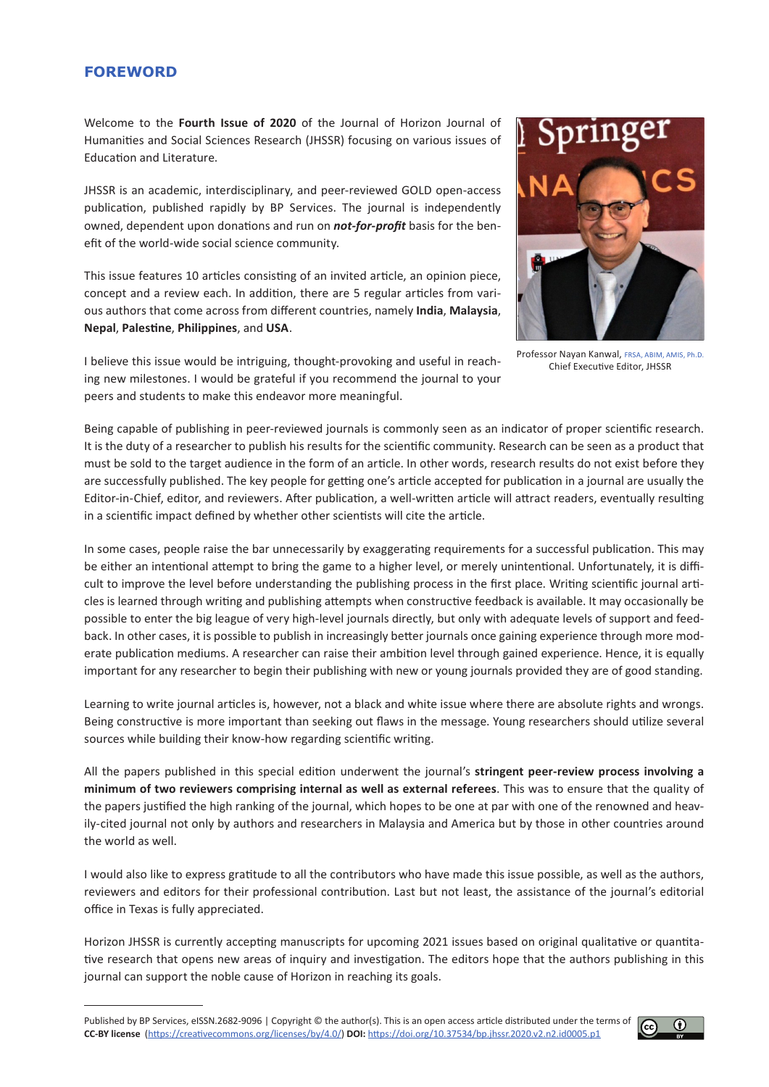## **FOREWORD**

Welcome to the **Fourth Issue of 2020** of the Journal of Horizon Journal of Humanities and Social Sciences Research (JHSSR) focusing on various issues of Education and Literature.

JHSSR is an academic, interdisciplinary, and peer-reviewed GOLD open-access publication, published rapidly by BP Services. The journal is independently owned, dependent upon donations and run on *not-for-profit* basis for the benefit of the world-wide social science community.

This issue features 10 articles consisting of an invited article, an opinion piece, concept and a review each. In addition, there are 5 regular articles from various authors that come across from different countries, namely **India**, **Malaysia**, **Nepal**, **Palestine**, **Philippines**, and **USA**.



Professor Nayan Kanwal, FRSA, ABIM, AMIS, Ph.D. Chief Executive Editor, JHSSR

I believe this issue would be intriguing, thought-provoking and useful in reaching new milestones. I would be grateful if you recommend the journal to your peers and students to make this endeavor more meaningful.

Being capable of publishing in peer-reviewed journals is commonly seen as an indicator of proper scientific research. It is the duty of a researcher to publish his results for the scientific community. Research can be seen as a product that must be sold to the target audience in the form of an article. In other words, research results do not exist before they are successfully published. The key people for getting one's article accepted for publication in a journal are usually the Editor-in-Chief, editor, and reviewers. After publication, a well-written article will attract readers, eventually resulting in a scientific impact defined by whether other scientists will cite the article.

In some cases, people raise the bar unnecessarily by exaggerating requirements for a successful publication. This may be either an intentional attempt to bring the game to a higher level, or merely unintentional. Unfortunately, it is difficult to improve the level before understanding the publishing process in the first place. Writing scientific journal articles is learned through writing and publishing attempts when constructive feedback is available. It may occasionally be possible to enter the big league of very high-level journals directly, but only with adequate levels of support and feedback. In other cases, it is possible to publish in increasingly better journals once gaining experience through more moderate publication mediums. A researcher can raise their ambition level through gained experience. Hence, it is equally important for any researcher to begin their publishing with new or young journals provided they are of good standing.

Learning to write journal articles is, however, not a black and white issue where there are absolute rights and wrongs. Being constructive is more important than seeking out flaws in the message. Young researchers should utilize several sources while building their know-how regarding scientific writing.

All the papers published in this special edition underwent the journal's **stringent peer-review process involving a minimum of two reviewers comprising internal as well as external referees**. This was to ensure that the quality of the papers justified the high ranking of the journal, which hopes to be one at par with one of the renowned and heavily-cited journal not only by authors and researchers in Malaysia and America but by those in other countries around the world as well.

I would also like to express gratitude to all the contributors who have made this issue possible, as well as the authors, reviewers and editors for their professional contribution. Last but not least, the assistance of the journal's editorial office in Texas is fully appreciated.

Horizon JHSSR is currently accepting manuscripts for upcoming 2021 issues based on original qualitative or quantitative research that opens new areas of inquiry and investigation. The editors hope that the authors publishing in this journal can support the noble cause of Horizon in reaching its goals.

Published by BP Services, eISSN.2682-9096 | Copyright © the author(s). This is an open access article distributed under the terms of **CC-BY license** (<https://creativecommons.org/licenses/by/4.0/>) **DOI:** <https://doi.org/10.37534/bp.jhssr.2020.v2.n2.id0005.p1>